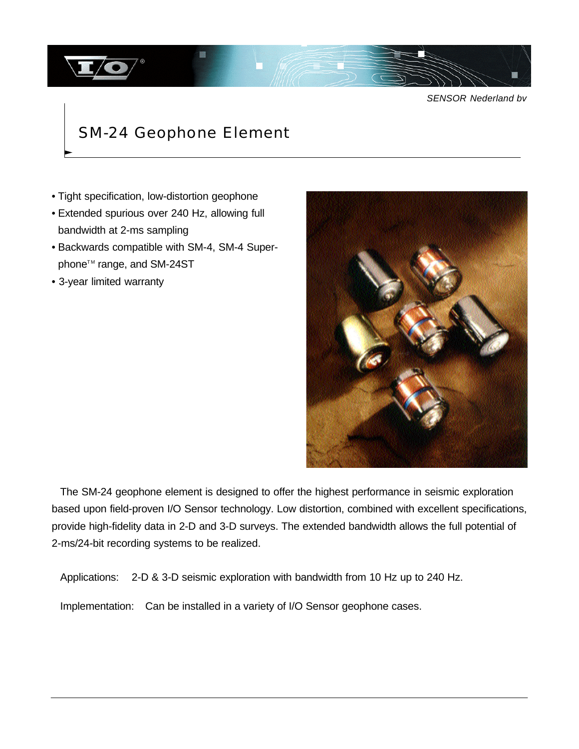

*SENSOR Nederland bv*

## SM-24 Geophone Element

- Tight specification, low-distortion geophone
- Extended spurious over 240 Hz, allowing full bandwidth at 2-ms sampling
- Backwards compatible with SM-4, SM-4 Superphone<sup>™</sup> range, and SM-24ST
- 3-year limited warranty



The SM-24 geophone element is designed to offer the highest performance in seismic exploration based upon field-proven I/O Sensor technology. Low distortion, combined with excellent specifications, provide high-fidelity data in 2-D and 3-D surveys. The extended bandwidth allows the full potential of 2-ms/24-bit recording systems to be realized.

Applications: 2-D & 3-D seismic exploration with bandwidth from 10 Hz up to 240 Hz.

Implementation: Can be installed in a variety of I/O Sensor geophone cases.